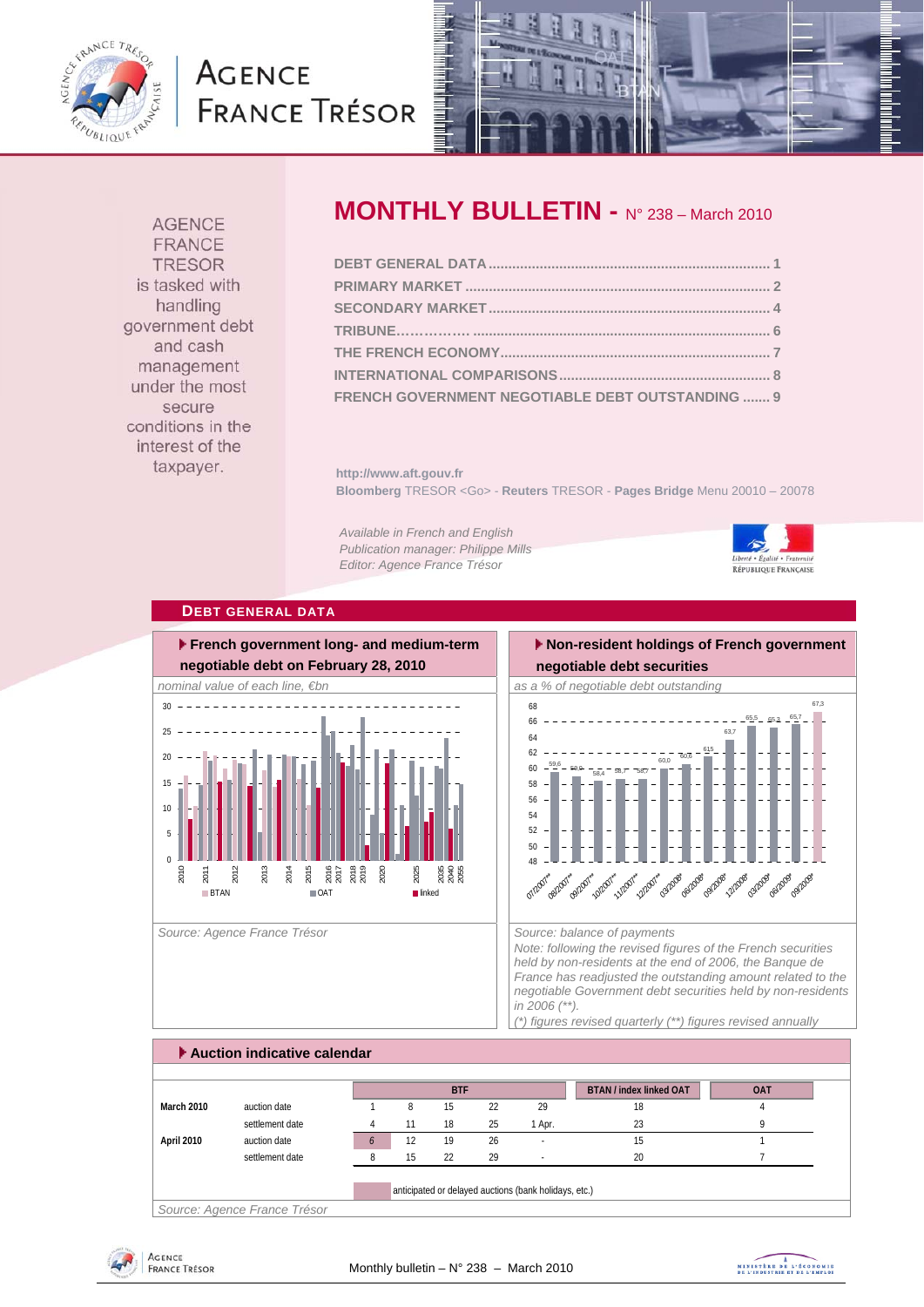

# **AGENCE FRANCE TRÉSOR**



**AGENCE** FRANCE **TRESOR** is tasked with handling government debt and cash management under the most secure conditions in the interest of the taxpayer.

# **MONTHLY BULLETIN -** N° 238 – March 2010

| FRENCH GOVERNMENT NEGOTIABLE DEBT OUTSTANDING  9 |  |
|--------------------------------------------------|--|

**http://www.aft.gouv.fr Bloomberg** TRESOR <Go> - **Reuters** TRESOR - **Pages Bridge** Menu 20010 – 20078

*Available in French and English Publication manager: Philippe Mills Editor: Agence France Trésor* 



### **DEBT GENERAL DATA**



Source: Agence France Trésor **Source: balance of payments** Source: balance of payments

# **Non-resident holdings of French government**

**negotiable debt securities** 



*Note: following the revised figures of the French securities held by non-residents at the end of 2006, the Banque de France has readjusted the outstanding amount related to the negotiable Government debt securities held by non-residents in 2006 (\*\*). (\*) figures revised quarterly (\*\*) figures revised annually* 

 **Auction indicative calendar BTAN / index linked OAT OAT March 2010** auction date 1 8 15 22 29 18 18 settlement date 14 11 18 25 1 Apr. 23 23 9 **April 2010** auction date *6* 12 19 26 - 15 1 settlement date and the settlement date and the settlement date and the set of  $\frac{1}{2}$  20 7 anticipated or delayed auctions (bank holidays, etc.) **BTF**

*Source: Agence France Trésor* 



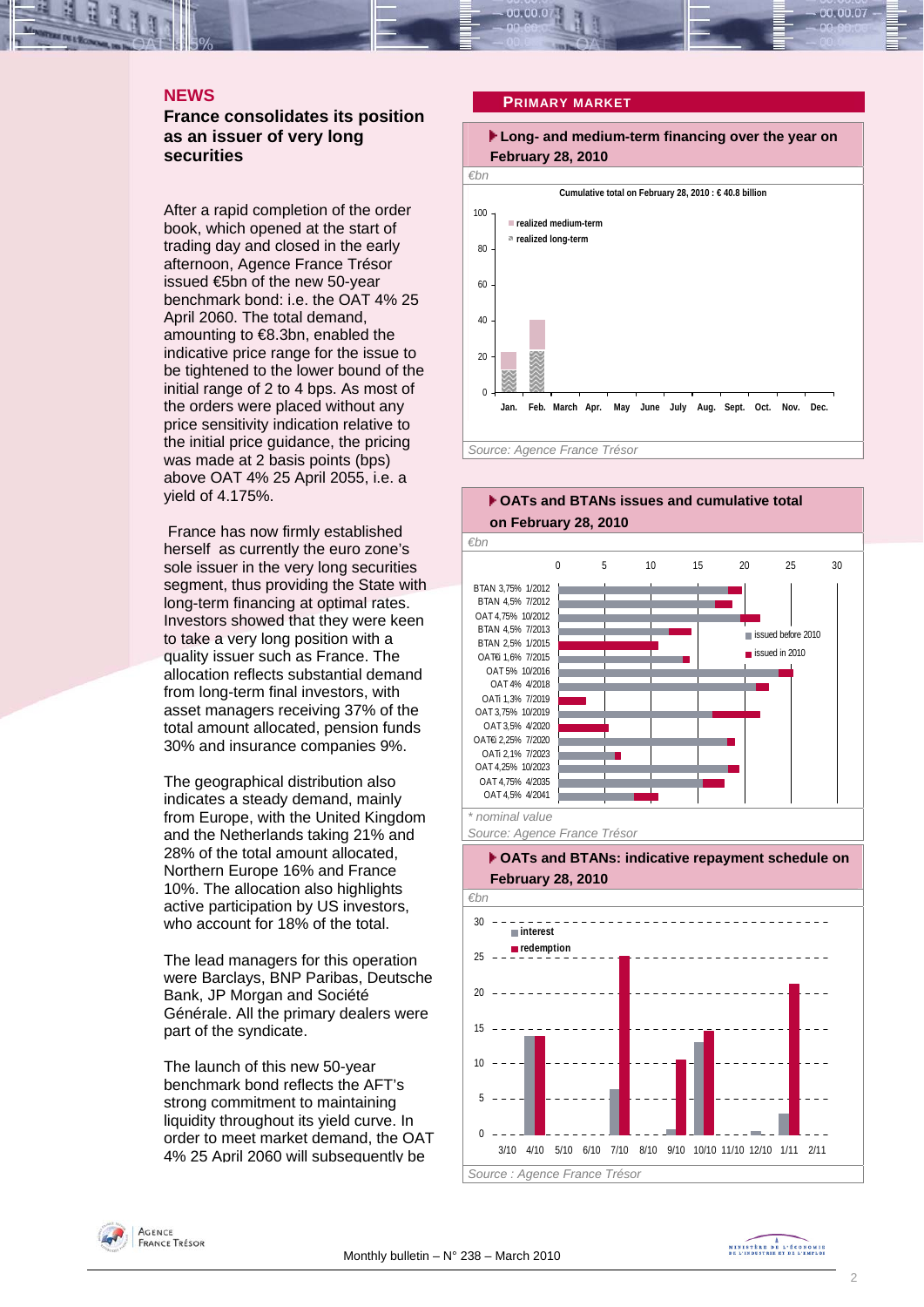## **NEWS**

**France consolidates its position as an issuer of very long securities** 

After a rapid completion of the order book, which opened at the start of trading day and closed in the early afternoon, Agence France Trésor issued €5bn of the new 50-year benchmark bond: i.e. the OAT 4% 25 April 2060. The total demand, amounting to €8.3bn, enabled the indicative price range for the issue to be tightened to the lower bound of the initial range of 2 to 4 bps. As most of the orders were placed without any price sensitivity indication relative to the initial price guidance, the pricing was made at 2 basis points (bps) above OAT 4% 25 April 2055, i.e. a yield of 4.175%.

 France has now firmly established herself as currently the euro zone's sole issuer in the very long securities segment, thus providing the State with long-term financing at optimal rates. Investors showed that they were keen to take a very long position with a quality issuer such as France. The allocation reflects substantial demand from long-term final investors, with asset managers receiving 37% of the total amount allocated, pension funds 30% and insurance companies 9%.

The geographical distribution also indicates a steady demand, mainly from Europe, with the United Kingdom and the Netherlands taking 21% and 28% of the total amount allocated, Northern Europe 16% and France 10%. The allocation also highlights active participation by US investors, who account for 18% of the total.

The lead managers for this operation were Barclays, BNP Paribas, Deutsche Bank, JP Morgan and Société Générale. All the primary dealers were part of the syndicate.

The launch of this new 50-year benchmark bond reflects the AFT's strong commitment to maintaining liquidity throughout its yield curve. In order to meet market demand, the OAT 4% 25 April 2060 will subsequently be

#### **PRIMARY MARKET**





### **OATs and BTANs: indicative repayment schedule on February 28, 2010**



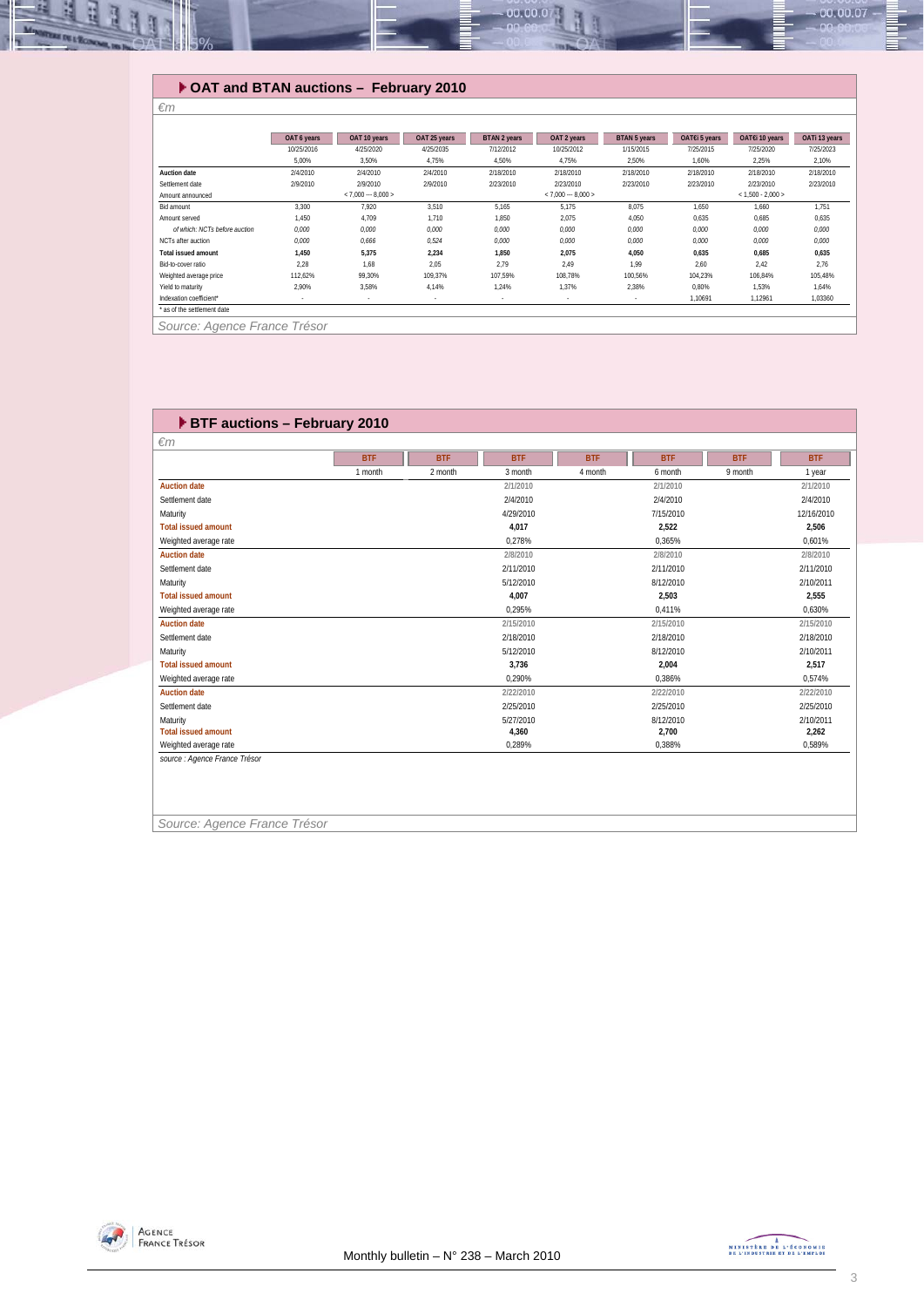

# **OAT and BTAN auctions – February 2010**

|                               | OAT 6 years | OAT 10 years             | OAT 25 years | BTAN 2 years | OAT 2 years         | BTAN 5 years | OAT€i 5 years | OAT€i 10 years      | OATi 13 years |
|-------------------------------|-------------|--------------------------|--------------|--------------|---------------------|--------------|---------------|---------------------|---------------|
|                               | 10/25/2016  | 4/25/2020                | 4/25/2035    | 7/12/2012    | 10/25/2012          | 1/15/2015    | 7/25/2015     | 7/25/2020           | 7/25/2023     |
|                               | 5.00%       | 3,50%                    | 4.75%        | 4,50%        | 4.75%               | 2.50%        | 1,60%         | 2,25%               | 2,10%         |
| <b>Auction date</b>           | 2/4/2010    | 2/4/2010                 | 2/4/2010     | 2/18/2010    | 2/18/2010           | 2/18/2010    | 2/18/2010     | 2/18/2010           | 2/18/2010     |
| Settlement date               | 2/9/2010    | 2/9/2010                 | 2/9/2010     | 2/23/2010    | 2/23/2010           | 2/23/2010    | 2/23/2010     | 2/23/2010           | 2/23/2010     |
| Amount announced              |             | $< 7.000 - 8.000 >$      |              |              | $< 7.000 - 8.000 >$ |              |               | $< 1.500 - 2.000 >$ |               |
| Bid amount                    | 3.300       | 7.920                    | 3,510        | 5.165        | 5.175               | 8,075        | 1,650         | 1.660               | 1.751         |
| Amount served                 | 1.450       | 4.709                    | 1,710        | 1.850        | 2,075               | 4,050        | 0,635         | 0.685               | 0,635         |
| of which: NCTs before auction | 0.000       | 0.000                    | 0,000        | 0.000        | 0,000               | 0.000        | 0,000         | 0.000               | 0,000         |
| NCTs after auction            | 0.000       | 0.666                    | 0,524        | 0.000        | 0,000               | 0,000        | 0,000         | 0.000               | 0,000         |
| <b>Total issued amount</b>    | 1.450       | 5,375                    | 2,234        | 1.850        | 2,075               | 4,050        | 0,635         | 0,685               | 0,635         |
| Bid-to-cover ratio            | 2.28        | 1.68                     | 2.05         | 2.79         | 2.49                | 1.99         | 2.60          | 2.42                | 2.76          |
| Weighted average price        | 112.62%     | 99.30%                   | 109.37%      | 107.59%      | 108.78%             | 100.56%      | 104.23%       | 106.84%             | 105.48%       |
| Yield to maturity             | 2.90%       | 3.58%                    | 4.14%        | 1.24%        | 1.37%               | 2.38%        | 0.80%         | 1.53%               | 1,64%         |
| Indexation coefficient*       | $\sim$      | $\overline{\phantom{a}}$ | ٠            | $\sim$       |                     | ۰            | 1.10691       | 1.12961             | 1.03360       |
| * as of the settlement date   |             |                          |              |              |                     |              |               |                     |               |

*Source: Agence France Trésor* 

*€m* 

| $\epsilon$ m               |            |            |            |            |            |            |            |
|----------------------------|------------|------------|------------|------------|------------|------------|------------|
|                            | <b>BTF</b> | <b>BTF</b> | <b>BTF</b> | <b>BTF</b> | <b>BTF</b> | <b>BTF</b> | <b>BTF</b> |
|                            | 1 month    | 2 month    | 3 month    | 4 month    | 6 month    | 9 month    | 1 year     |
| <b>Auction date</b>        |            |            | 2/1/2010   |            | 2/1/2010   |            | 2/1/2010   |
| Settlement date            |            |            | 2/4/2010   |            | 2/4/2010   |            | 2/4/2010   |
| Maturity                   |            |            | 4/29/2010  |            | 7/15/2010  |            | 12/16/2010 |
| <b>Total issued amount</b> |            |            | 4.017      |            | 2,522      |            | 2,506      |
| Weighted average rate      |            |            | 0.278%     |            | 0,365%     |            | 0.601%     |
| <b>Auction date</b>        |            |            | 2/8/2010   |            | 2/8/2010   |            | 2/8/2010   |
| Settlement date            |            |            | 2/11/2010  |            | 2/11/2010  |            | 2/11/2010  |
| Maturity                   |            |            | 5/12/2010  |            | 8/12/2010  |            | 2/10/2011  |
| <b>Total issued amount</b> |            |            | 4.007      |            | 2.503      |            | 2.555      |
| Weighted average rate      |            |            | 0.295%     |            | 0.411%     |            | 0.630%     |
| <b>Auction date</b>        |            |            | 2/15/2010  |            | 2/15/2010  |            | 2/15/2010  |
| Settlement date            |            |            | 2/18/2010  |            | 2/18/2010  |            | 2/18/2010  |
| Maturity                   |            |            | 5/12/2010  |            | 8/12/2010  |            | 2/10/2011  |
| <b>Total issued amount</b> |            |            | 3,736      |            | 2,004      |            | 2,517      |
| Weighted average rate      |            |            | 0.290%     |            | 0.386%     |            | 0.574%     |
| <b>Auction date</b>        |            |            | 2/22/2010  |            | 2/22/2010  |            | 2/22/2010  |
| Settlement date            |            |            | 2/25/2010  |            | 2/25/2010  |            | 2/25/2010  |
| Maturity                   |            |            | 5/27/2010  |            | 8/12/2010  |            | 2/10/2011  |
| <b>Total issued amount</b> |            |            | 4,360      |            | 2,700      |            | 2,262      |
| Weighted average rate      |            |            | 0,289%     |            | 0,388%     |            | 0,589%     |

*Source: Agence France Trésor* 

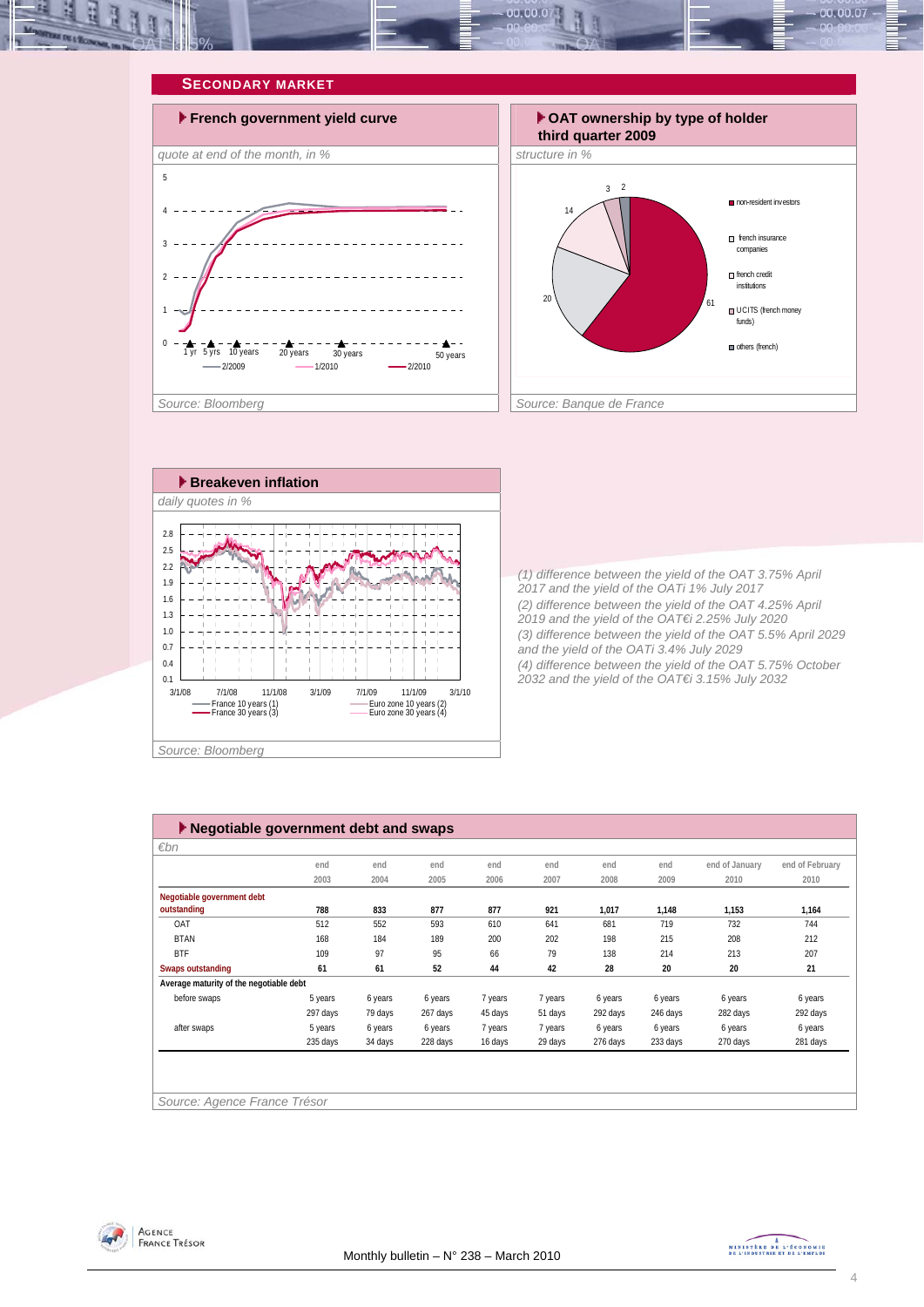







*(1) difference between the yield of the OAT 3.75% April 2017 and the yield of the OATi 1% July 2017 (2) difference between the yield of the OAT 4.25% April 2019 and the yield of the OAT€i 2.25% July 2020 (3) difference between the yield of the OAT 5.5% April 2029 and the yield of the OATi 3.4% July 2029 (4) difference between the yield of the OAT 5.75% October 2032 and the yield of the OAT€i 3.15% July 2032* 

| $\blacktriangleright$ Negotiable government debt and swaps |          |         |          |         |         |          |          |                |                 |
|------------------------------------------------------------|----------|---------|----------|---------|---------|----------|----------|----------------|-----------------|
| $\varepsilon$ bn                                           |          |         |          |         |         |          |          |                |                 |
|                                                            | end      | end     | end      | end     | end     | end      | end      | end of January | end of February |
|                                                            | 2003     | 2004    | 2005     | 2006    | 2007    | 2008     | 2009     | 2010           | 2010            |
| Negotiable government debt                                 |          |         |          |         |         |          |          |                |                 |
| outstanding                                                | 788      | 833     | 877      | 877     | 921     | 1,017    | 1,148    | 1,153          | 1,164           |
| OAT                                                        | 512      | 552     | 593      | 610     | 641     | 681      | 719      | 732            | 744             |
| <b>BTAN</b>                                                | 168      | 184     | 189      | 200     | 202     | 198      | 215      | 208            | 212             |
| <b>BTF</b>                                                 | 109      | 97      | 95       | 66      | 79      | 138      | 214      | 213            | 207             |
| Swaps outstanding                                          | 61       | 61      | 52       | 44      | 42      | 28       | 20       | 20             | 21              |
| Average maturity of the negotiable debt                    |          |         |          |         |         |          |          |                |                 |
| before swaps                                               | 5 years  | 6 years | 6 years  | 7 years | 7 years | 6 years  | 6 years  | 6 years        | 6 years         |
|                                                            | 297 days | 79 days | 267 days | 45 days | 51 days | 292 days | 246 days | 282 days       | 292 days        |
| after swaps                                                | 5 years  | 6 years | 6 years  | 7 years | 7 years | 6 years  | 6 years  | 6 years        | 6 years         |
|                                                            | 235 days | 34 days | 228 days | 16 days | 29 days | 276 days | 233 days | 270 days       | 281 days        |
|                                                            |          |         |          |         |         |          |          |                |                 |
|                                                            |          |         |          |         |         |          |          |                |                 |
|                                                            |          |         |          |         |         |          |          |                |                 |
| Source: Agence France Trésor                               |          |         |          |         |         |          |          |                |                 |



MINISTRE DE L'ÉCONOMIE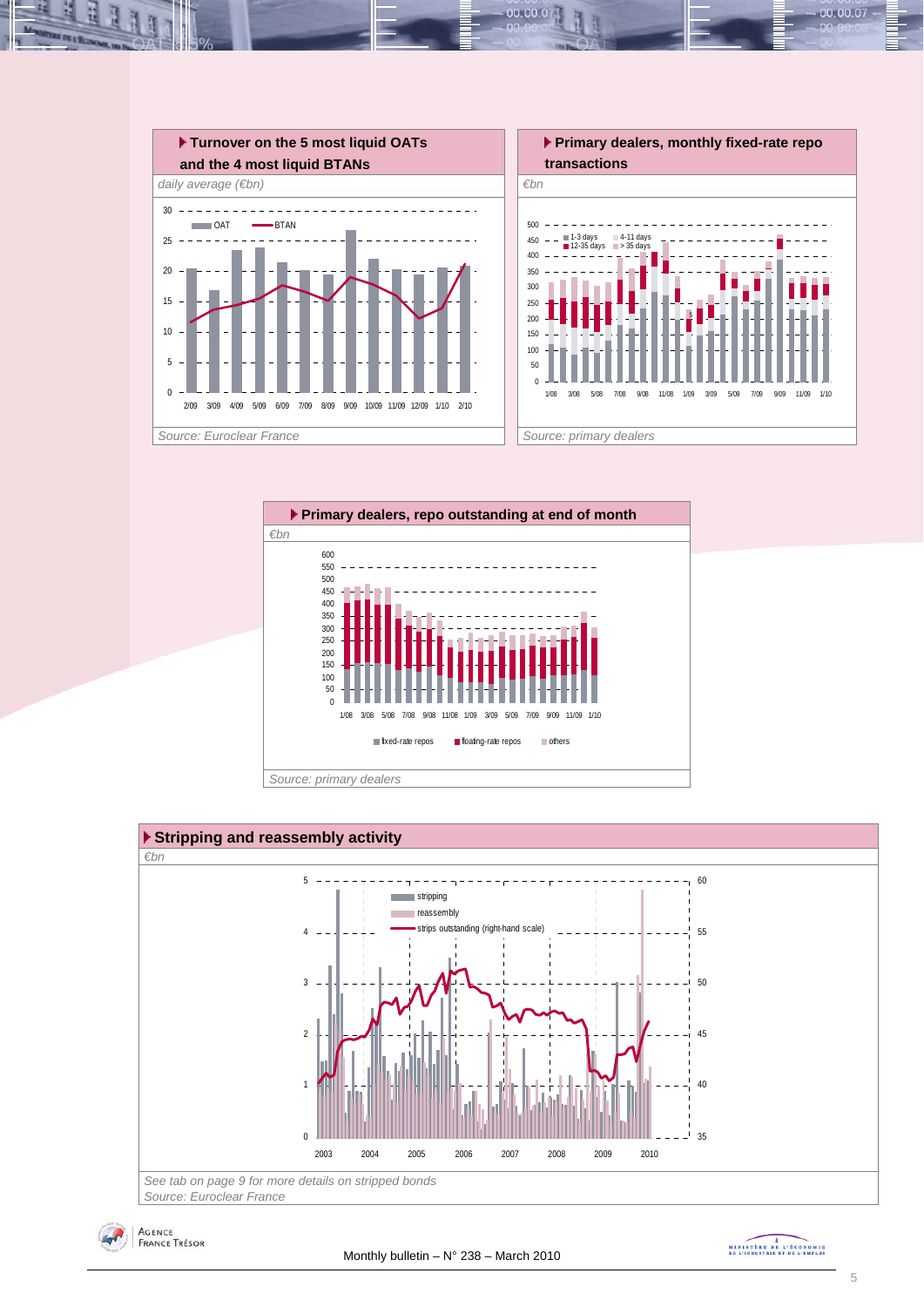

00.00.0







MINISTRE DE L'ÉCONOMIE

00.00.07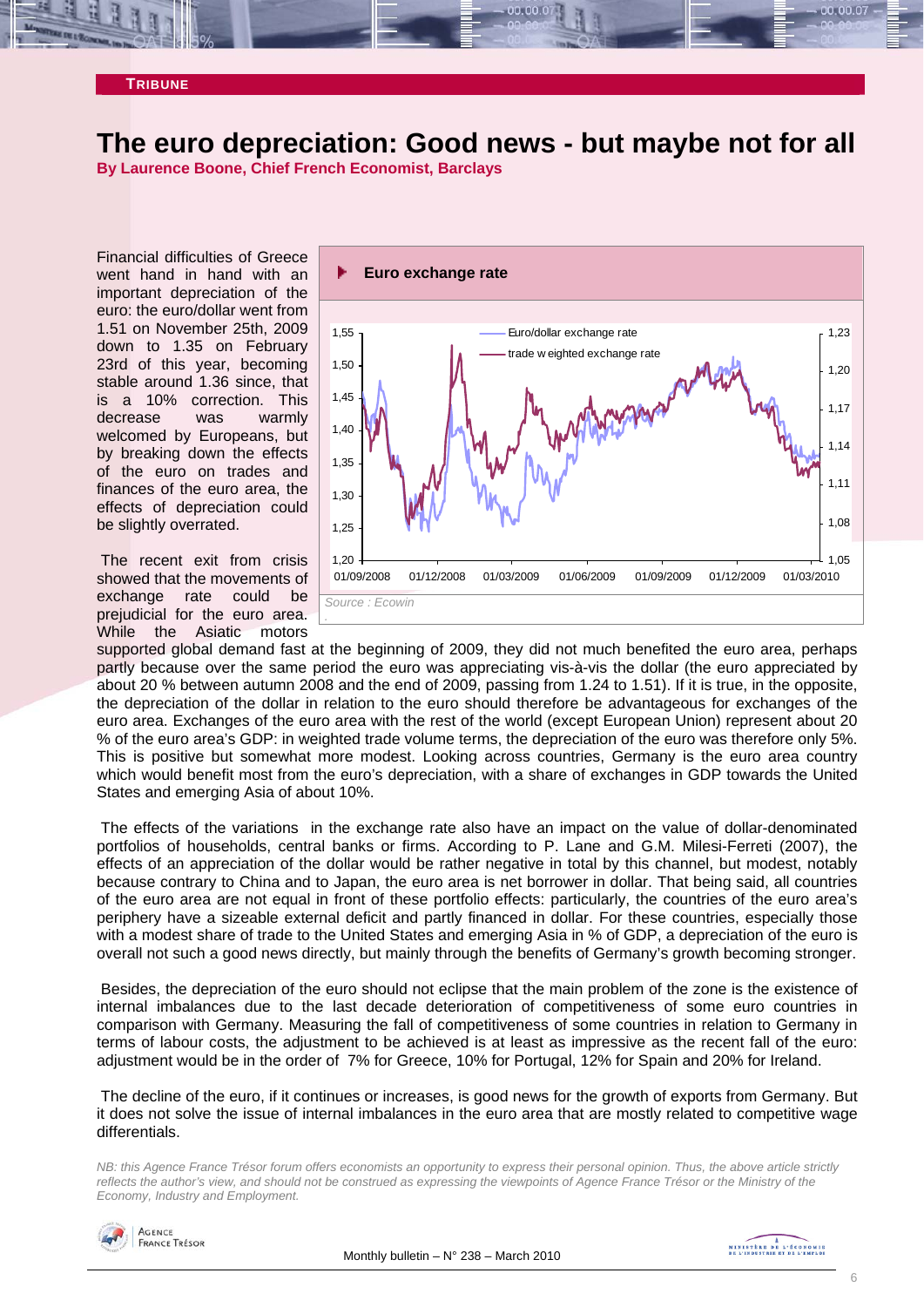# **The euro depreciation: Good news - but maybe not for all**

**By Laurence Boone, Chief French Economist, Barclays** 

Financial difficulties of Greece went hand in hand with an important depreciation of the euro: the euro/dollar went from 1.51 on November 25th, 2009 down to 1.35 on February 23rd of this year, becoming stable around 1.36 since, that is a 10% correction. This decrease was warmly welcomed by Europeans, but by breaking down the effects of the euro on trades and finances of the euro area, the effects of depreciation could be slightly overrated.

 The recent exit from crisis showed that the movements of exchange rate could be prejudicial for the euro area. While the Asiatic motors



supported global demand fast at the beginning of 2009, they did not much benefited the euro area, perhaps partly because over the same period the euro was appreciating vis-à-vis the dollar (the euro appreciated by about 20 % between autumn 2008 and the end of 2009, passing from 1.24 to 1.51). If it is true, in the opposite, the depreciation of the dollar in relation to the euro should therefore be advantageous for exchanges of the euro area. Exchanges of the euro area with the rest of the world (except European Union) represent about 20 % of the euro area's GDP: in weighted trade volume terms, the depreciation of the euro was therefore only 5%. This is positive but somewhat more modest. Looking across countries, Germany is the euro area country which would benefit most from the euro's depreciation, with a share of exchanges in GDP towards the United States and emerging Asia of about 10%.

 The effects of the variations in the exchange rate also have an impact on the value of dollar-denominated portfolios of households, central banks or firms. According to P. Lane and G.M. Milesi-Ferreti (2007), the effects of an appreciation of the dollar would be rather negative in total by this channel, but modest, notably because contrary to China and to Japan, the euro area is net borrower in dollar. That being said, all countries of the euro area are not equal in front of these portfolio effects: particularly, the countries of the euro area's periphery have a sizeable external deficit and partly financed in dollar. For these countries, especially those with a modest share of trade to the United States and emerging Asia in % of GDP, a depreciation of the euro is overall not such a good news directly, but mainly through the benefits of Germany's growth becoming stronger.

 Besides, the depreciation of the euro should not eclipse that the main problem of the zone is the existence of internal imbalances due to the last decade deterioration of competitiveness of some euro countries in comparison with Germany. Measuring the fall of competitiveness of some countries in relation to Germany in terms of labour costs, the adjustment to be achieved is at least as impressive as the recent fall of the euro: adjustment would be in the order of 7% for Greece, 10% for Portugal, 12% for Spain and 20% for Ireland.

 The decline of the euro, if it continues or increases, is good news for the growth of exports from Germany. But it does not solve the issue of internal imbalances in the euro area that are mostly related to competitive wage differentials.

*NB: this Agence France Trésor forum offers economists an opportunity to express their personal opinion. Thus, the above article strictly reflects the author's view, and should not be construed as expressing the viewpoints of Agence France Trésor or the Ministry of the Economy, Industry and Employment.* 

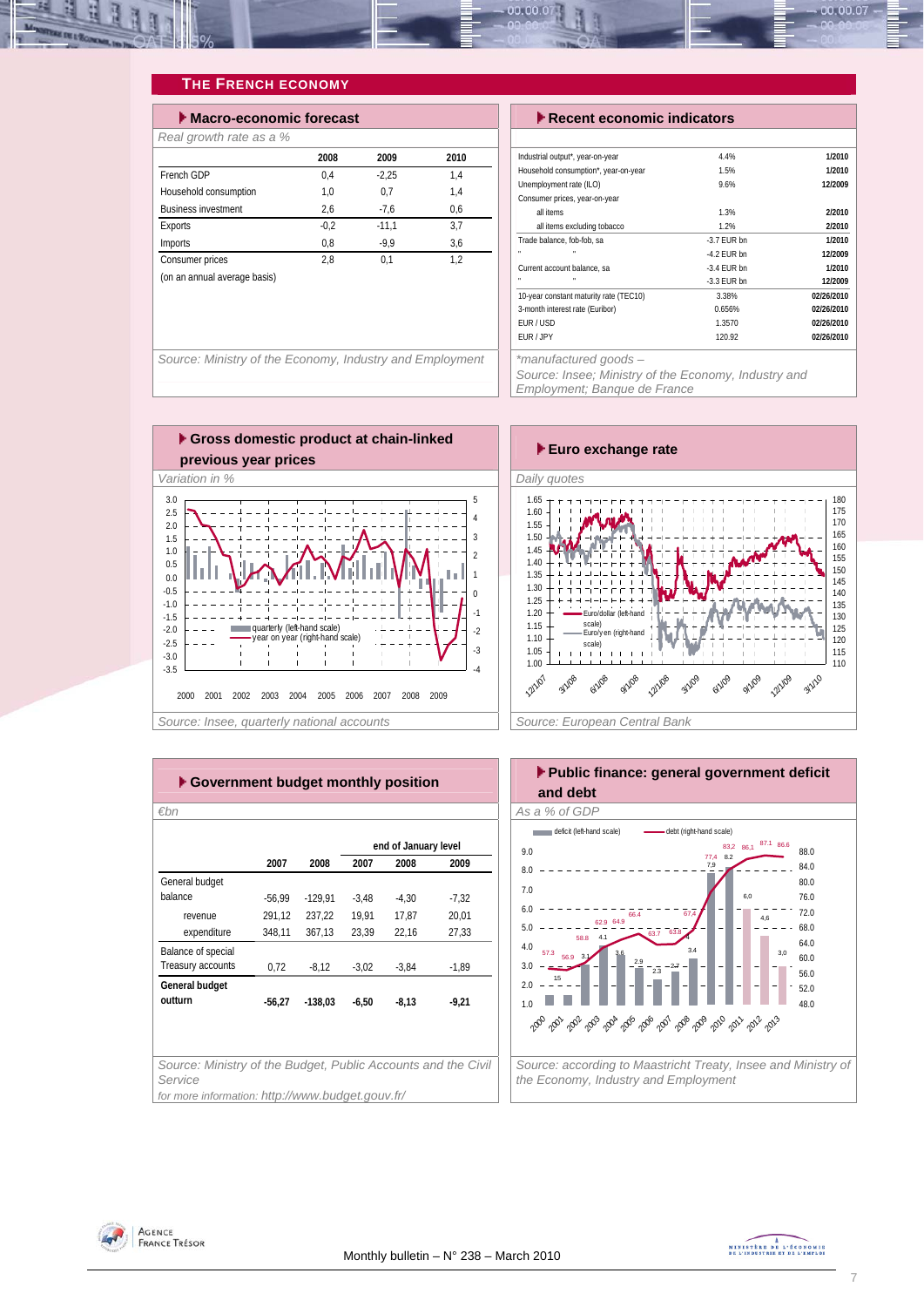

# **THE FRENCH ECONOMY**

| $\blacktriangleright$ Macro-economic forecast |        |         |      |
|-----------------------------------------------|--------|---------|------|
| Real growth rate as a %                       |        |         |      |
|                                               | 2008   | 2009    | 2010 |
| French GDP                                    | 0.4    | $-2.25$ | 1.4  |
| Household consumption                         | 1.0    | 0.7     | 1.4  |
| <b>Business investment</b>                    | 2.6    | $-7.6$  | 0.6  |
| Exports                                       | $-0.2$ | $-11.1$ | 3.7  |
| Imports                                       | 0,8    | $-9.9$  | 3.6  |
| Consumer prices                               | 2.8    | 0.1     | 1.2  |
| (on an annual average basis)                  |        |         |      |
|                                               |        |         |      |

#### **Execent economic indicators**

| Industrial output*, year-on-year       | 4.4%          | 1/2010     |
|----------------------------------------|---------------|------------|
| Household consumption*, year-on-year   | 1.5%          | 1/2010     |
| Unemployment rate (ILO)                | 9.6%          | 12/2009    |
| Consumer prices, year-on-year          |               |            |
| all items                              | 1.3%          | 2/2010     |
| all items excluding tobacco            | 1.2%          | 2/2010     |
| Trade balance, fob-fob, sa             | $-3.7$ FUR bn | 1/2010     |
| ×<br>n,                                | $-4.2$ FUR bn | 12/2009    |
| Current account balance, sa            | $-3.4$ FUR bn | 1/2010     |
| n,                                     | $-3.3$ FUR bn | 12/2009    |
| 10-year constant maturity rate (TEC10) | 3.38%         | 02/26/2010 |
| 3-month interest rate (Euribor)        | 0.656%        | 02/26/2010 |
| FUR / USD                              | 1.3570        | 02/26/2010 |
| FUR / JPY                              | 120.92        | 02/26/2010 |
|                                        |               |            |

Source: Ministry of the Economy, Industry and Employment <sup>\*</sup> \*manufactured goods –

*Source: Insee; Ministry of the Economy, Industry and Employment; Banque de France* 



| Euro exchange rate                                                                                                                                                                                                                                                                                                                                                                                                 |
|--------------------------------------------------------------------------------------------------------------------------------------------------------------------------------------------------------------------------------------------------------------------------------------------------------------------------------------------------------------------------------------------------------------------|
| Daily quotes                                                                                                                                                                                                                                                                                                                                                                                                       |
| 180<br>1.65<br>175<br>1.60<br>170<br>1.55<br>165<br>1.50<br>160<br>1.45<br>155<br>1.40<br>150<br>1.35<br>145<br>1.30<br>140<br>1.25<br>135<br>1.20<br>Euro/dollar (left-hand<br>130<br>scale)<br>1.15<br>125<br>Euro/yen (right-hand<br>1.10<br>120<br>scale)<br>1.05<br>115<br>1.00<br>110<br><b>3/1/10</b><br>12/1/07<br>9/1/08 2/1/08<br><b>6/1/19</b><br>2/1/08<br><b>A1/18</b><br>3/1/09<br>12/1/09<br>9/1/09 |
| Source: European Central Bank                                                                                                                                                                                                                                                                                                                                                                                      |

| ► Government budget monthly position                                     |          |           |         |                      |         |  |  |  |  |  |
|--------------------------------------------------------------------------|----------|-----------|---------|----------------------|---------|--|--|--|--|--|
| €bn                                                                      |          |           |         |                      |         |  |  |  |  |  |
|                                                                          |          |           |         | end of January level |         |  |  |  |  |  |
|                                                                          | 2007     | 2008      | 2007    | 2008                 | 2009    |  |  |  |  |  |
| General budget                                                           |          |           |         |                      |         |  |  |  |  |  |
| balance                                                                  | $-56,99$ | $-129,91$ | $-3,48$ | $-4,30$              | $-7,32$ |  |  |  |  |  |
| revenue                                                                  | 291,12   | 237.22    | 19.91   | 17.87                | 20.01   |  |  |  |  |  |
| expenditure                                                              | 348,11   | 367,13    | 23,39   | 22,16                | 27,33   |  |  |  |  |  |
| Balance of special                                                       |          |           |         |                      |         |  |  |  |  |  |
| Treasury accounts                                                        | 0,72     | $-8,12$   | $-3,02$ | $-3.84$              | $-1,89$ |  |  |  |  |  |
| General budget                                                           |          |           |         |                      |         |  |  |  |  |  |
| outturn                                                                  | $-56,27$ | $-138,03$ | $-6,50$ | $-8,13$              | $-9,21$ |  |  |  |  |  |
|                                                                          |          |           |         |                      |         |  |  |  |  |  |
|                                                                          |          |           |         |                      |         |  |  |  |  |  |
|                                                                          |          |           |         |                      |         |  |  |  |  |  |
| Source: Ministry of the Budget, Public Accounts and the Civil<br>Service |          |           |         |                      |         |  |  |  |  |  |
| for more information: http://www.budget.gouv.fr/                         |          |           |         |                      |         |  |  |  |  |  |



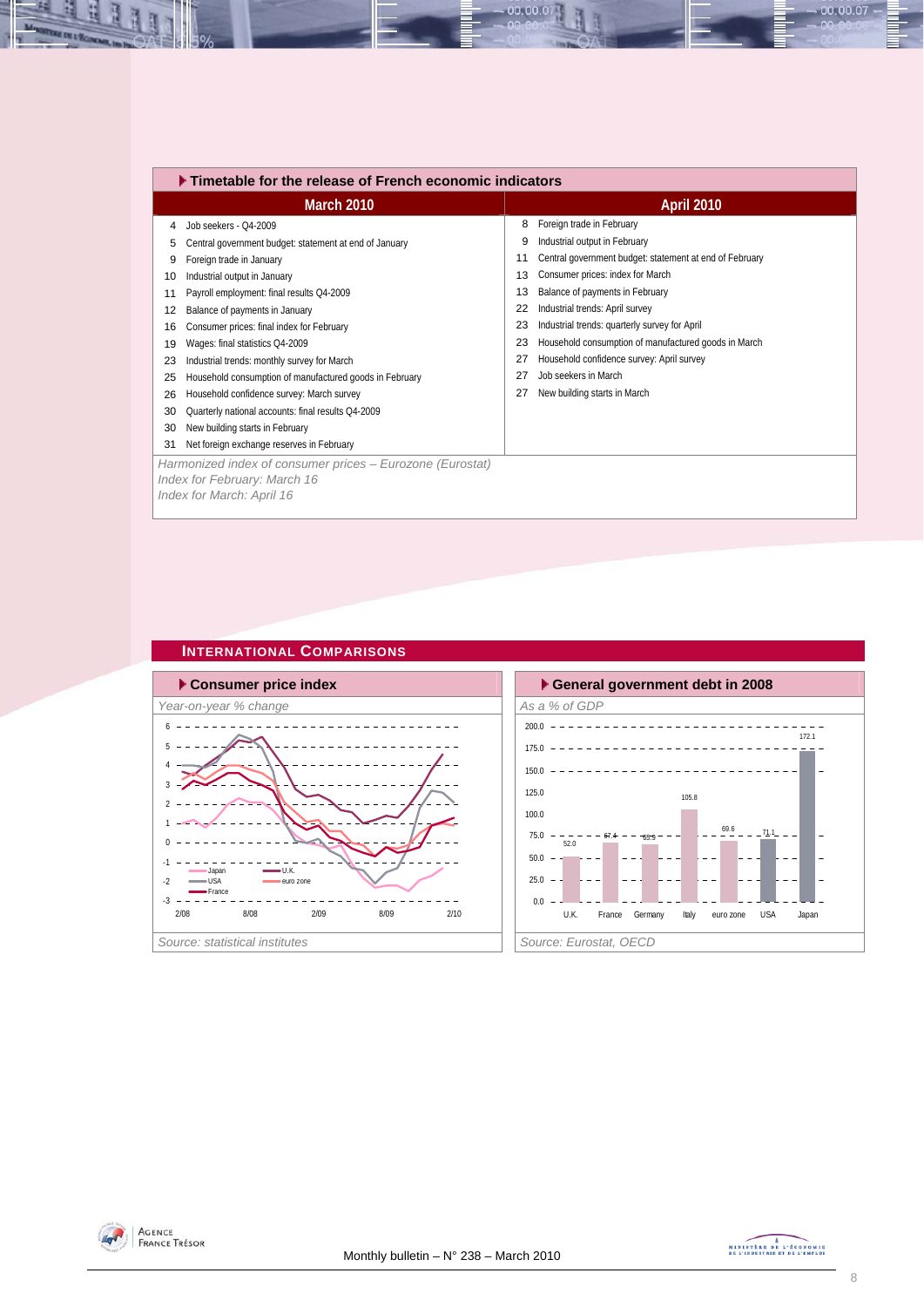|    | $\blacktriangleright$ Timetable for the release of French economic indicators |    |                                                         |
|----|-------------------------------------------------------------------------------|----|---------------------------------------------------------|
|    | March 2010                                                                    |    | <b>April 2010</b>                                       |
| 4  | Job seekers - Q4-2009                                                         | 8  | Foreign trade in February                               |
| 5  | Central government budget: statement at end of January                        | 9  | Industrial output in February                           |
| 9  | Foreign trade in January                                                      | 11 | Central government budget: statement at end of February |
| 10 | Industrial output in January                                                  | 13 | Consumer prices: index for March                        |
| 11 | Payroll employment: final results Q4-2009                                     | 13 | Balance of payments in February                         |
| 12 | Balance of payments in January                                                | 22 | Industrial trends: April survey                         |
| 16 | Consumer prices: final index for February                                     | 23 | Industrial trends: quarterly survey for April           |
| 19 | Wages: final statistics Q4-2009                                               | 23 | Household consumption of manufactured goods in March    |
| 23 | Industrial trends: monthly survey for March                                   |    | Household confidence survey: April survey               |
| 25 | Household consumption of manufactured goods in February                       | 27 | Job seekers in March                                    |
| 26 | Household confidence survey: March survey                                     | 27 | New building starts in March                            |
| 30 | Quarterly national accounts: final results Q4-2009                            |    |                                                         |
| 30 | New building starts in February                                               |    |                                                         |
| 31 | Net foreign exchange reserves in February                                     |    |                                                         |
|    | Harmonized index of consumer prices – Eurozone (Eurostat)                     |    |                                                         |
|    | Index for February: March 16                                                  |    |                                                         |
|    | Index for March: April 16                                                     |    |                                                         |

00.00.07

# **INTERNATIONAL COMPARISONS**







H

H



 $00.00.07$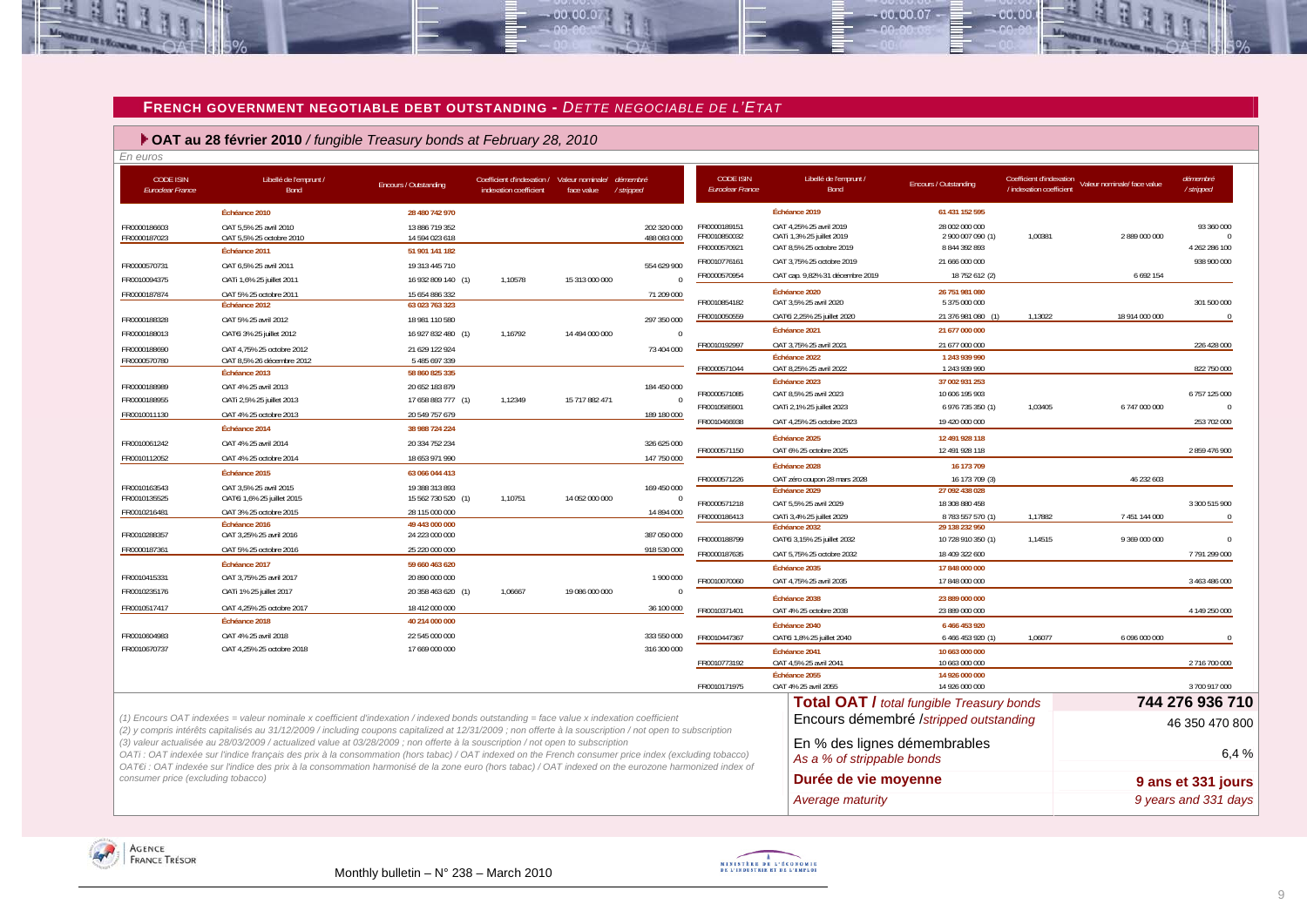#### **FRENCH GOVERNMENT NEGOTIABLE DEBT OUTSTANDING -** *DETTE NEGOCIABLE DE L'ETAT*

 $.00,00,01$ 

 **OAT au 28 février 2010** */ fungible Treasury bonds at February 28, 2010*

*En euros* CODE ISIN*Euroclear France* Libellé de l'emprunt / Bond Encours / Outstanding Coefficient d'indexation / indexation coefficient Valeur nominale/ face value *démembré / stripped* **Échéance 2010 28 480 742 970**FR0000186603 OAT 5,5% 25 avril 2010 13 886 719 352 202 320 000 FR0000187023 OAT 5,5% 25 octobre 2010 14 594 023 618 488 083 000 **Échéance 2011 51 901 141 182**FR0000570731 OAT 6.5% 25 avril 2011 2012 19 313 445 710 554 629 900 576 546 629 900 FR0010094375 OATi 1,6% 25 juillet 2011 16 932 809 140 (1) 1,10578 15 313 000 000 0 FR0000187874 OAT 5% 25 octobre 2011 15 654 886 332 71 209 00071 209 000 **Échéance 2012 63 023 763 323**FR0000188328 OAT 5% 25 avril 2012 18 981 110 580 297 350 000FR0000188013 OATEi 3% 25 juillet 2012 16 927 832 480 (1) 1,16792 14 494 000 000 FR0000188690 OAT 4,75% 25 octobre 2012 21 629 122 924 73 404 000 FR0000570780 OAT 8,5% 26 décembre 2012 5 485 697 339 **Échéance 2013 58 860 825 335** FR0000188989 OAT 4% 25 avril 2013 20 652 183 879 184 450 000 FR0000188955 OATi 2,5% 25 juillet 2013 17 658 883 777 (1) 1,12349 15 717 882 471 0 FR0010011130 **OAT 4% 25 octobre 2013** 20 549 757 679 189 180 000 **Échéance 2014 38 988 724 224**FR0010061242 OAT 4% 25 avril 2014 20 334 752 234 326 625 000326 625 000 FR0010112052 OAT 4% 25 octobre 2014 18 653 971 990 147 750 000147 750 000 **Échéance 2015 63 066 044 413**FR0010163543 OAT 3,5% 25 avril 2015 19 388 313 893 169 450 000 FR0010135525 OAT€i 1,6% 25 juillet 2015 15 562 730 520 (1) 1,10751 14 052 000 000 0 FR0010216481 OAT 3% 25 octobre 2015 28 115 000 000 28 115 000 000 14 894 000 **Échéance 2016 49 443 000 000**FR0010288357 OAT 3,25% 25 avril 2016 24 223 000 000 387 050 000 FR0000187361 OAT 5% 25 octobre 2016 25 220 000 000 918 530 000918 530 000 **Échéance 2017 59 660 463 620** FR0010415331 OAT 3,75% 25 avril 2017 20 890 000 000 000 1 900 000 FR0010235176 OATi 1% 25 juillet 2017 20 358 463 620 (1) 1,06667 19 086 000 000 0 FR0010517417 0AT 4.25% 25 octobre 2017 18 412 000 000 36 100 000 36 100 000  $Échéance 2018$ 40 214 000 000 FR0010604983 OAT 4% 25 avril 2018 22 545 000 000 333 550 000FR0010670737 OAT 4,25% 25 octobre 2018 17 669 000 000 316 300 000 CODE ISIN *Euroclear France*Libellé de l'emprunt / Bond Encours / Outstanding Coefficient d'indexation / indexation coefficient Valeur nominale/ face value *démembré / stripped* **Échéance 2019 61 431 152 595**FR0000189151 OAT 4.25% 25 avril 2019 28 002 000 000 28 002 000 000 93 360 000 93 360 000 FR0010850032 OATi 1,3% 25 juillet 2019 2 900 007 090 (1) 1,00381 2 889 000 000 0 FR0000570921 OAT 8,5% 25 octobre 2019 8 844 392 893 4 262 286 100 FR0010776161 OAT 3,75% 25 octobre 2019 21 666 000 000 21 966 000 000 21 958 900 000 FR0000570954 OAT cap. 9,82% 31 décembre 2019 18 752 612 (2) 6 692 154 **Échéance 2020 26 751 981 080**FR0010854182 OAT 3,5% 25 avril 2020 5 375 000 000 301 500 000 301 500 000 301 500 000 FR0010050559 OAT€i 2,25% 25 juillet 2020 21 376 981 080 (1) 1,13022 18 914 000 000 0 **Échéance 2021 21 677 000 000** FR0010192997 OAT 3,75% 25 avril 2021 21 677 000 000 226 428 000 **Échéance 2022 1 243 939 990** FR0000571044 OAT 8,25% 25 avril 2022 1 243 939 990 822 750 000 **Échéance 2023 37 002 931 253** FR0000571085 OAT 8,5% 25 avril 2023 10 606 195 903 6 757 125 000 FR0010585901 OATi 2,1% 25 juillet 2023 6 976 735 350 (1) 1,03405 6 747 000 000 0 FR0010466938 OAT 4,25% 25 octobre 2023 19 420 000 000 253 702 000 **Échéance 2025 12 491 928 118**FR0000571150 OAT 6% 25 octobre 2025 12 491 928 118 2 859 476 900**Échéance 2028 16 173 709**16 173 709 FR0000571226 OAT zéro coupon 28 mars 2028 16 173 709 (3) 46 232 603 **Échéance 2029 27 092 438 028** FR0000571218 OAT 5,5% 25 avril 2029 18 308 880 458 3 300 515 900 FR0000186413 OATi 3,4% 25 juillet 2029 8 783 557 570 (1) 1,17882 7 451 144 000 0 **Échéance 2032 29 138 232 950**FR0000188799 OAT€i 3,15% 25 juillet 2032 10 728 910 350 (1) 1,14515 9 369 000 000 0 FR0000187635 OAT 5,75% 25 octobre 2032 18 409 322 600 7 791 299 000 **Échéance 2035 17 848 000 000**FR0010070060 OAT 4,75% 25 avril 2035 17 848 000 000 3 463 486 000 **Échéance 2038 23 889 000 000**FR0010371401 OAT 4% 25 octobre 2038 23 889 000 000 4 149 250 000 **Échéance 2040 6 466 453 920** FR0010447367 OAT€i 1,8% 25 juillet 2040 6 466 453 920 (1) 1,06077 6 096 000 000 0 **Échéance 2041 10 663 000 000** FR0010773192 OAT 4,5% 25 avril 2041 2001 10 663 000 000 2 70 10 663 000 000 2 716 700 000 **Échéance 2055 14 926 000 000**FR0010171975 OAT 4% 25 avril 2055 14 926 000 000 3 700 917 000 **Total OAT /** *total fungible Treasury bonds* **744 276 936 710**  Encours démembré /*stripped outstanding*<br>46 350 470 800 En % des lignes démembrables *As a % of strippable bonds* 6,4 % **Durée de vie moyenne 1988 9 ans et 331 jours** *(1) Encours OAT indexées = valeur nominale x coefficient d'indexation / indexed bonds outstanding = face value x indexation coefficient (2) y compris intérêts capitalisés au 31/12/2009 / including coupons capitalized at 12/31/2009 ; non offerte à la souscription / not open to subscription (3) valeur actualisée au 28/03/2009 / actualized value at 03/28/2009 ; non offerte à la souscription / not open to subscription OATi : OAT indexée sur l'indice français des prix à la consommation (hors tabac) / OAT indexed on the French consumer price index (excluding tobacco) OAT€i : OAT indexée sur l'indice des prix à la consommation harmonisé de la zone euro (hors tabac) / OAT indexed on the eurozone harmonized index of consumer price (excluding tobacco) Average maturity 9 years and 331 days* 





 $00007$ 

 $00.00$